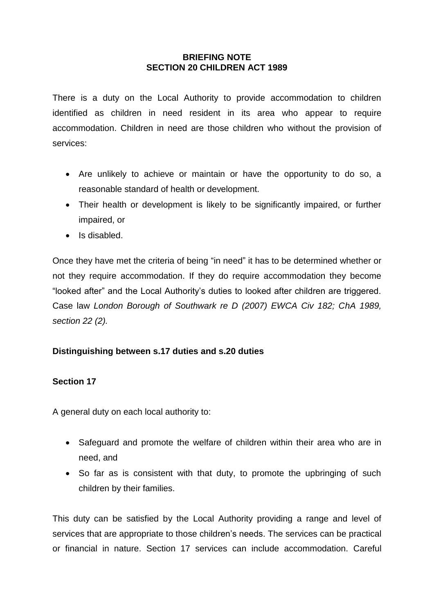#### **BRIEFING NOTE SECTION 20 CHILDREN ACT 1989**

There is a duty on the Local Authority to provide accommodation to children identified as children in need resident in its area who appear to require accommodation. Children in need are those children who without the provision of services:

- Are unlikely to achieve or maintain or have the opportunity to do so, a reasonable standard of health or development.
- Their health or development is likely to be significantly impaired, or further impaired, or
- Is disabled.

Once they have met the criteria of being "in need" it has to be determined whether or not they require accommodation. If they do require accommodation they become "looked after" and the Local Authority's duties to looked after children are triggered. Case law *London Borough of Southwark re D (2007) EWCA Civ 182; ChA 1989, section 22 (2).*

# **Distinguishing between s.17 duties and s.20 duties**

### **Section 17**

A general duty on each local authority to:

- Safeguard and promote the welfare of children within their area who are in need, and
- So far as is consistent with that duty, to promote the upbringing of such children by their families.

This duty can be satisfied by the Local Authority providing a range and level of services that are appropriate to those children's needs. The services can be practical or financial in nature. Section 17 services can include accommodation. Careful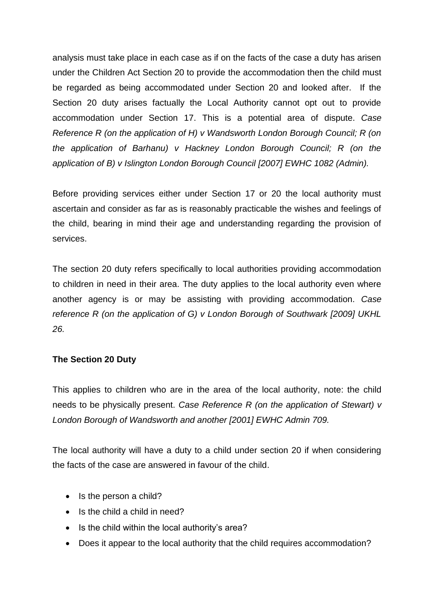analysis must take place in each case as if on the facts of the case a duty has arisen under the Children Act Section 20 to provide the accommodation then the child must be regarded as being accommodated under Section 20 and looked after. If the Section 20 duty arises factually the Local Authority cannot opt out to provide accommodation under Section 17. This is a potential area of dispute. *Case Reference R (on the application of H) v Wandsworth London Borough Council; R (on the application of Barhanu) v Hackney London Borough Council; R (on the application of B) v Islington London Borough Council [2007] EWHC 1082 (Admin).*

Before providing services either under Section 17 or 20 the local authority must ascertain and consider as far as is reasonably practicable the wishes and feelings of the child, bearing in mind their age and understanding regarding the provision of services.

The section 20 duty refers specifically to local authorities providing accommodation to children in need in their area. The duty applies to the local authority even where another agency is or may be assisting with providing accommodation. *Case reference R (on the application of G) v London Borough of Southwark [2009] UKHL 26.*

### **The Section 20 Duty**

This applies to children who are in the area of the local authority, note: the child needs to be physically present. *Case Reference R (on the application of Stewart) v London Borough of Wandsworth and another [2001] EWHC Admin 709.*

The local authority will have a duty to a child under section 20 if when considering the facts of the case are answered in favour of the child.

- $\bullet$  Is the person a child?
- $\bullet$  Is the child a child in need?
- Is the child within the local authority's area?
- Does it appear to the local authority that the child requires accommodation?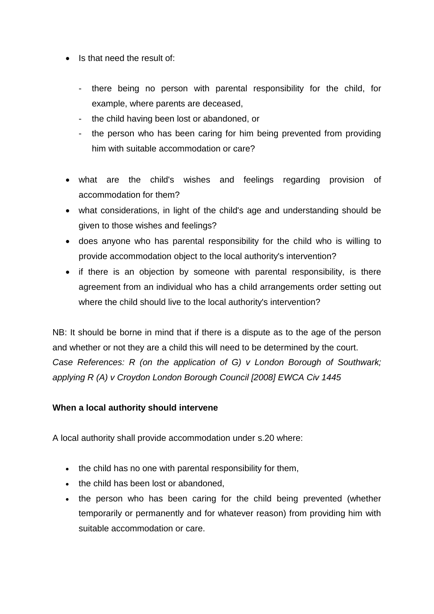- Is that need the result of:
	- there being no person with parental responsibility for the child, for example, where parents are deceased,
	- the child having been lost or abandoned, or
	- the person who has been caring for him being prevented from providing him with suitable accommodation or care?
- what are the child's wishes and feelings regarding provision of accommodation for them?
- what considerations, in light of the child's age and understanding should be given to those wishes and feelings?
- does anyone who has parental responsibility for the child who is willing to provide accommodation object to the local authority's intervention?
- if there is an objection by someone with parental responsibility, is there agreement from an individual who has a child arrangements order setting out where the child should live to the local authority's intervention?

NB: It should be borne in mind that if there is a dispute as to the age of the person and whether or not they are a child this will need to be determined by the court. *Case References: R (on the application of G) v London Borough of Southwark; applying R (A) v Croydon London Borough Council [2008] EWCA Civ 1445*

### **When a local authority should intervene**

A local authority shall provide accommodation under s.20 where:

- the child has no one with parental responsibility for them,
- the child has been lost or abandoned.
- the person who has been caring for the child being prevented (whether temporarily or permanently and for whatever reason) from providing him with suitable accommodation or care.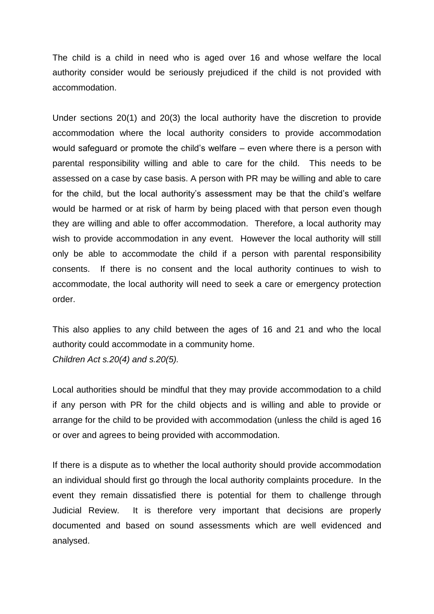The child is a child in need who is aged over 16 and whose welfare the local authority consider would be seriously prejudiced if the child is not provided with accommodation.

Under sections 20(1) and 20(3) the local authority have the discretion to provide accommodation where the local authority considers to provide accommodation would safeguard or promote the child's welfare – even where there is a person with parental responsibility willing and able to care for the child. This needs to be assessed on a case by case basis. A person with PR may be willing and able to care for the child, but the local authority's assessment may be that the child's welfare would be harmed or at risk of harm by being placed with that person even though they are willing and able to offer accommodation. Therefore, a local authority may wish to provide accommodation in any event. However the local authority will still only be able to accommodate the child if a person with parental responsibility consents. If there is no consent and the local authority continues to wish to accommodate, the local authority will need to seek a care or emergency protection order.

This also applies to any child between the ages of 16 and 21 and who the local authority could accommodate in a community home. *Children Act s.20(4) and s.20(5).*

Local authorities should be mindful that they may provide accommodation to a child if any person with PR for the child objects and is willing and able to provide or arrange for the child to be provided with accommodation (unless the child is aged 16 or over and agrees to being provided with accommodation.

If there is a dispute as to whether the local authority should provide accommodation an individual should first go through the local authority complaints procedure. In the event they remain dissatisfied there is potential for them to challenge through Judicial Review. It is therefore very important that decisions are properly documented and based on sound assessments which are well evidenced and analysed.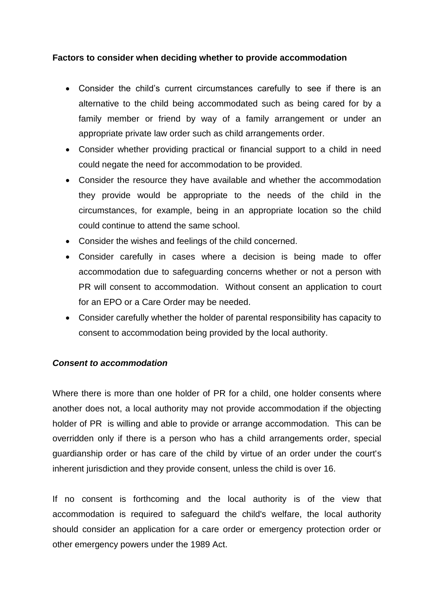#### **Factors to consider when deciding whether to provide accommodation**

- Consider the child's current circumstances carefully to see if there is an alternative to the child being accommodated such as being cared for by a family member or friend by way of a family arrangement or under an appropriate private law order such as child arrangements order.
- Consider whether providing practical or financial support to a child in need could negate the need for accommodation to be provided.
- Consider the resource they have available and whether the accommodation they provide would be appropriate to the needs of the child in the circumstances, for example, being in an appropriate location so the child could continue to attend the same school.
- Consider the wishes and feelings of the child concerned.
- Consider carefully in cases where a decision is being made to offer accommodation due to safeguarding concerns whether or not a person with PR will consent to accommodation. Without consent an application to court for an EPO or a Care Order may be needed.
- Consider carefully whether the holder of parental responsibility has capacity to consent to accommodation being provided by the local authority.

#### *Consent to accommodation*

Where there is more than one holder of PR for a child, one holder consents where another does not, a local authority may not provide accommodation if the objecting holder of PR is willing and able to provide or arrange accommodation. This can be overridden only if there is a person who has a child arrangements order, special guardianship order or has care of the child by virtue of an order under the court's inherent jurisdiction and they provide consent, unless the child is over 16.

If no consent is forthcoming and the local authority is of the view that accommodation is required to safeguard the child's welfare, the local authority should consider an application for a care order or emergency protection order or other emergency powers under the 1989 Act.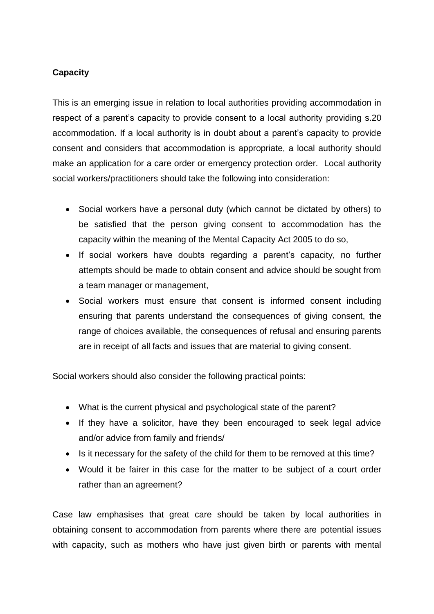## **Capacity**

This is an emerging issue in relation to local authorities providing accommodation in respect of a parent's capacity to provide consent to a local authority providing s.20 accommodation. If a local authority is in doubt about a parent's capacity to provide consent and considers that accommodation is appropriate, a local authority should make an application for a care order or emergency protection order. Local authority social workers/practitioners should take the following into consideration:

- Social workers have a personal duty (which cannot be dictated by others) to be satisfied that the person giving consent to accommodation has the capacity within the meaning of the Mental Capacity Act 2005 to do so,
- If social workers have doubts regarding a parent's capacity, no further attempts should be made to obtain consent and advice should be sought from a team manager or management,
- Social workers must ensure that consent is informed consent including ensuring that parents understand the consequences of giving consent, the range of choices available, the consequences of refusal and ensuring parents are in receipt of all facts and issues that are material to giving consent.

Social workers should also consider the following practical points:

- What is the current physical and psychological state of the parent?
- If they have a solicitor, have they been encouraged to seek legal advice and/or advice from family and friends/
- Is it necessary for the safety of the child for them to be removed at this time?
- Would it be fairer in this case for the matter to be subject of a court order rather than an agreement?

Case law emphasises that great care should be taken by local authorities in obtaining consent to accommodation from parents where there are potential issues with capacity, such as mothers who have just given birth or parents with mental